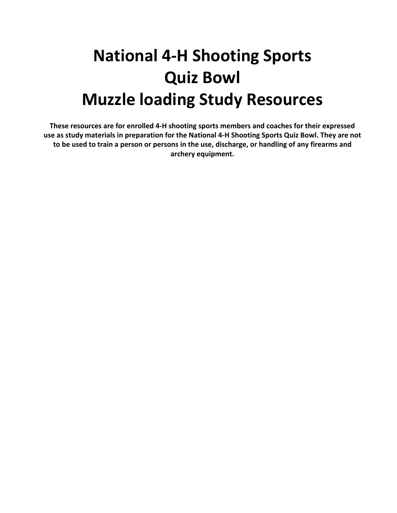# **National 4-H Shooting Sports Quiz Bowl Muzzle loading Study Resources**

**These resources are for enrolled 4-H shooting sports members and coaches for their expressed use as study materials in preparation for the National 4-H Shooting Sports Quiz Bowl. They are not to be used to train a person or persons in the use, discharge, or handling of any firearms and archery equipment.**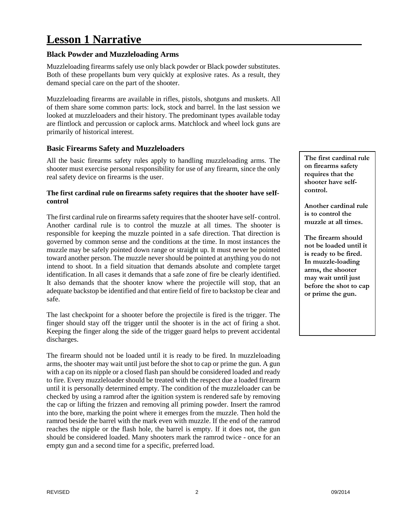# **Lesson 1 Narrative**

#### **Black Powder and Muzzleloading Arms**

Muzzleloading firearms safely use only black powder or Black powder substitutes. Both of these propellants bum very quickly at explosive rates. As a result, they demand special care on the part of the shooter.

Muzzleloading firearms are available in rifles, pistols, shotguns and muskets. All of them share some common parts: lock, stock and barrel. In the last session we looked at muzzleloaders and their history. The predominant types available today are flintlock and percussion or caplock arms. Matchlock and wheel lock guns are primarily of historical interest.

#### **Basic Firearms Safety and Muzzleloaders**

All the basic firearms safety rules apply to handling muzzleloading arms. The shooter must exercise personal responsibility for use of any firearm, since the only real safety device on firearms is the user.

#### **The first cardinal rule on firearms safety requires that the shooter have seIfcontrol**

The first cardinal rule on firearms safety requires that the shooter have self- control. Another cardinal rule is to control the muzzle at all times. The shooter is responsible for keeping the muzzle pointed in a safe direction. That direction is governed by common sense and the conditions at the time. In most instances the muzzle may be safely pointed down range or straight up. It must never be pointed toward another person. The muzzle never should be pointed at anything you do not intend to shoot. In a field situation that demands absolute and complete target identification. In all cases it demands that a safe zone of fire be clearly identified. It also demands that the shooter know where the projectile will stop, that an adequate backstop be identified and that entire field of fire to backstop be clear and safe.

The last checkpoint for a shooter before the projectile is fired is the trigger. The finger should stay off the trigger until the shooter is in the act of firing a shot. Keeping the finger along the side of the trigger guard helps to prevent accidental discharges.

The firearm should not be loaded until it is ready to be fired. In muzzleloading arms, the shooter may wait until just before the shot to cap or prime the gun. A gun with a cap on its nipple or a closed flash pan should be considered loaded and ready to fire. Every muzzleloader should be treated with the respect due a loaded firearm until it is personally determined empty. The condition of the muzzleloader can be checked by using a ramrod after the ignition system is rendered safe by removing the cap or lifting the frizzen and removing all priming powder. Insert the ramrod into the bore, marking the point where it emerges from the muzzle. Then hold the ramrod beside the barrel with the mark even with muzzle. If the end of the ramrod reaches the nipple or the flash hole, the barrel is empty. If it does not, the gun should be considered loaded. Many shooters mark the ramrod twice - once for an empty gun and a second time for a specific, preferred load.

**The first cardinal rule on firearms safety requires that the shooter have selfcontrol.**

**Another cardinal rule is to control the muzzle at all times.**

**The firearm should not be loaded until it is ready to be fired. In muzzle-loading arms, the shooter may wait until just before the shot to cap or prime the gun.**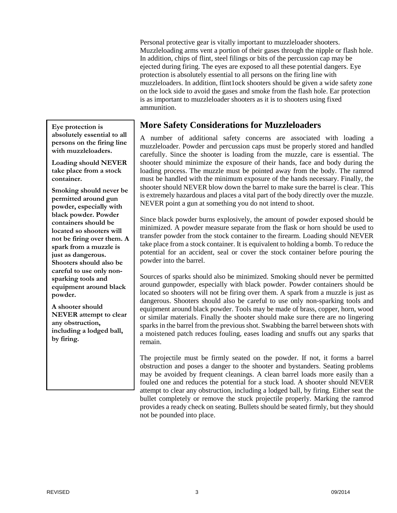Personal protective gear is vitally important to muzzleloader shooters. Muzzleloading arms vent a portion of their gases through the nipple or flash hole. In addition, chips of flint, steel filings or bits of the percussion cap may be ejected during firing. The eyes are exposed to all these potential dangers. Eye protection is absolutely essential to all persons on the firing line with muzzleloaders. In addition, flint1ock shooters should be given a wide safety zone on the lock side to avoid the gases and smoke from the flash hole. Ear protection is as important to muzzleloader shooters as it is to shooters using fixed ammunition.

**Eye protection is absolutely essential to all persons on the firing line with muzzleloaders.**

**Loading should NEVER take place from a stock container.**

**Smoking should never be permitted around gun powder, especially with black powder. Powder containers should be located so shooters will not be firing over them. A spark from a muzzle is just as dangerous. Shooters should also be careful to use only nonsparking tools and equipment around black powder.**

**A shooter should NEVER attempt to clear any obstruction, including a lodged ball, by firing.**

# **More Safety Considerations for Muzzleloaders**

A number of additional safety concerns are associated with loading a muzzleloader. Powder and percussion caps must be properly stored and handled carefully. Since the shooter is loading from the muzzle, care is essential. The shooter should minimize the exposure of their hands, face and body during the loading process. The muzzle must be pointed away from the body. The ramrod must be handled with the minimum exposure of the hands necessary. Finally, the shooter should NEVER blow down the barrel to make sure the barrel is clear. This is extremely hazardous and places a vital part of the body directly over the muzzle. NEVER point a gun at something you do not intend to shoot.

Since black powder burns explosively, the amount of powder exposed should be minimized. A powder measure separate from the flask or horn should be used to transfer powder from the stock container to the firearm. Loading should NEVER take place from a stock container. It is equivalent to holding a bomb. To reduce the potential for an accident, seal or cover the stock container before pouring the powder into the barrel.

Sources of sparks should also be minimized. Smoking should never be permitted around gunpowder, especially with black powder. Powder containers should be located so shooters will not be firing over them. A spark from a muzzle is just as dangerous. Shooters should also be careful to use only non-sparking tools and equipment around black powder. Tools may be made of brass, copper, horn, wood or similar materials. Finally the shooter should make sure there are no lingering sparks in the barrel from the previous shot. Swabbing the barrel between shots with a moistened patch reduces fouling, eases loading and snuffs out any sparks that remain.

The projectile must be firmly seated on the powder. If not, it forms a barrel obstruction and poses a danger to the shooter and bystanders. Seating problems may be avoided by frequent cleanings. A clean barrel loads more easily than a fouled one and reduces the potential for a stuck load. A shooter should NEVER attempt to clear any obstruction, including a lodged ball, by firing. Either seat the bullet completely or remove the stuck projectile properly. Marking the ramrod provides a ready check on seating. Bullets should be seated firmly, but they should not be pounded into place.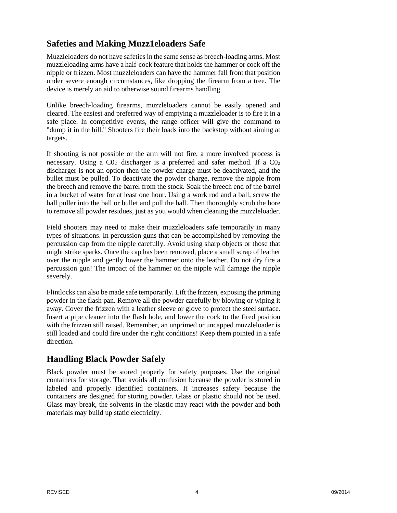# **Safeties and Making Muzz1eloaders Safe**

Muzzleloaders do not have safeties in the same sense as breech-loading arms. Most muzzleloading arms have a half-cock feature that holds the hammer or cock off the nipple or frizzen. Most muzzleloaders can have the hammer fall front that position under severe enough circumstances, like dropping the firearm from a tree. The device is merely an aid to otherwise sound firearms handling.

Unlike breech-loading firearms, muzzleloaders cannot be easily opened and cleared. The easiest and preferred way of emptying a muzzleloader is to fire it in a safe place. In competitive events, the range officer will give the command to "dump it in the hill." Shooters fire their loads into the backstop without aiming at targets.

If shooting is not possible or the arm will not fire, a more involved process is necessary. Using a  $CO<sub>2</sub>$  discharger is a preferred and safer method. If a  $CO<sub>2</sub>$ discharger is not an option then the powder charge must be deactivated, and the bullet must be pulled. To deactivate the powder charge, remove the nipple from the breech and remove the barrel from the stock. Soak the breech end of the barrel in a bucket of water for at least one hour. Using a work rod and a ball, screw the ball puller into the ball or bullet and pull the ball. Then thoroughly scrub the bore to remove all powder residues, just as you would when cleaning the muzzleloader.

Field shooters may need to make their muzzleloaders safe temporarily in many types of situations. In percussion guns that can be accomplished by removing the percussion cap from the nipple carefully. Avoid using sharp objects or those that might strike sparks. Once the cap has been removed, place a small scrap of leather over the nipple and gently lower the hammer onto the leather. Do not dry fire a percussion gun! The impact of the hammer on the nipple will damage the nipple severely.

Flintlocks can also be made safe temporarily. Lift the frizzen, exposing the priming powder in the flash pan. Remove all the powder carefully by blowing or wiping it away. Cover the frizzen with a leather sleeve or glove to protect the steel surface. Insert a pipe cleaner into the flash hole, and lower the cock to the fired position with the frizzen still raised. Remember, an unprimed or uncapped muzzleloader is still loaded and could fire under the right conditions! Keep them pointed in a safe direction.

# **Handling Black Powder Safely**

Black powder must be stored properly for safety purposes. Use the original containers for storage. That avoids all confusion because the powder is stored in labeled and properly identified containers. It increases safety because the containers are designed for storing powder. Glass or plastic should not be used. Glass may break, the solvents in the plastic may react with the powder and both materials may build up static electricity.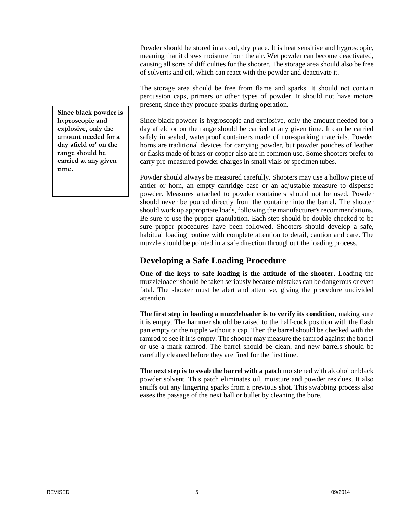Powder should be stored in a cool, dry place. It is heat sensitive and hygroscopic, meaning that it draws moisture from the air. Wet powder can become deactivated, causing all sorts of difficulties for the shooter. The storage area should also be free of solvents and oil, which can react with the powder and deactivate it.

The storage area should be free from flame and sparks. It should not contain percussion caps, primers or other types of powder. It should not have motors present, since they produce sparks during operation.

Since black powder is hygroscopic and explosive, only the amount needed for a day afield or on the range should be carried at any given time. It can be carried safely in sealed, waterproof containers made of non-sparking materials. Powder horns are traditional devices for carrying powder, but powder pouches of leather or flasks made of brass or copper also are in common use. Some shooters prefer to carry pre-measured powder charges in small vials or specimen tubes.

Powder should always be measured carefully. Shooters may use a hollow piece of antler or horn, an empty cartridge case or an adjustable measure to dispense powder. Measures attached to powder containers should not be used. Powder should never be poured directly from the container into the barrel. The shooter should work up appropriate loads, following the manufacturer's recommendations. Be sure to use the proper granulation. Each step should be double-checked to be sure proper procedures have been followed. Shooters should develop a safe, habitual loading routine with complete attention to detail, caution and care. The muzzle should be pointed in a safe direction throughout the loading process.

# **Developing a Safe Loading Procedure**

**One of the keys to safe loading is the attitude of the shooter.** Loading the muzzleloader should be taken seriously because mistakes can be dangerous or even fatal. The shooter must be alert and attentive, giving the procedure undivided attention.

**The first step in loading a muzzleloader is to verify its condition**, making sure it is empty. The hammer should be raised to the half-cock position with the flash pan empty or the nipple without a cap. Then the barrel should be checked with the ramrod to see if it is empty. The shooter may measure the ramrod against the barrel or use a mark ramrod. The barrel should be clean, and new barrels should be carefully cleaned before they are fired for the first time.

**The next step is to swab the barrel with a patch** moistened with alcohol or black powder solvent. This patch eliminates oil, moisture and powder residues. It also snuffs out any lingering sparks from a previous shot. This swabbing process also eases the passage of the next ball or bullet by cleaning the bore.

**Since black powder is hygroscopic and explosive, only the amount needed for a day afield or' on the range should be carried at any given time.**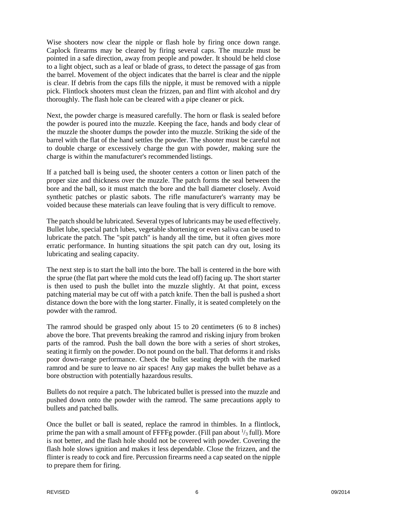Wise shooters now clear the nipple or flash hole by firing once down range. Caplock firearms may be cleared by firing several caps. The muzzle must be pointed in a safe direction, away from people and powder. It should be held close to a light object, such as a leaf or blade of grass, to detect the passage of gas from the barrel. Movement of the object indicates that the barrel is clear and the nipple is clear. If debris from the caps fills the nipple, it must be removed with a nipple pick. Flintlock shooters must clean the frizzen, pan and flint with alcohol and dry thoroughly. The flash hole can be cleared with a pipe cleaner or pick.

Next, the powder charge is measured carefully. The horn or flask is sealed before the powder is poured into the muzzle. Keeping the face, hands and body clear of the muzzle the shooter dumps the powder into the muzzle. Striking the side of the barrel with the flat of the hand settles the powder. The shooter must be careful not to double charge or excessively charge the gun with powder, making sure the charge is within the manufacturer's recommended listings.

If a patched ball is being used, the shooter centers a cotton or linen patch of the proper size and thickness over the muzzle. The patch forms the seal between the bore and the ball, so it must match the bore and the ball diameter closely. Avoid synthetic patches or plastic sabots. The rifle manufacturer's warranty may be voided because these materials can leave fouling that is very difficult to remove.

The patch should be lubricated. Several types of lubricants may be used effectively. Bullet lube, special patch lubes, vegetable shortening or even saliva can be used to lubricate the patch. The "spit patch" is handy all the time, but it often gives more erratic performance. In hunting situations the spit patch can dry out, losing its lubricating and sealing capacity.

The next step is to start the ball into the bore. The ball is centered in the bore with the sprue (the flat part where the mold cuts the lead off) facing up. The short starter is then used to push the bullet into the muzzle slightly. At that point, excess patching material may be cut off with a patch knife. Then the ball is pushed a short distance down the bore with the long starter. Finally, it is seated completely on the powder with the ramrod.

The ramrod should be grasped only about 15 to 20 centimeters (6 to 8 inches) above the bore. That prevents breaking the ramrod and risking injury from broken parts of the ramrod. Push the ball down the bore with a series of short strokes, seating it firmly on the powder. Do not pound on the ball. That deforms it and risks poor down-range performance. Check the bullet seating depth with the marked ramrod and be sure to leave no air spaces! Any gap makes the bullet behave as a bore obstruction with potentially hazardous results.

Bullets do not require a patch. The lubricated bullet is pressed into the muzzle and pushed down onto the powder with the ramrod. The same precautions apply to bullets and patched balls.

Once the bullet or ball is seated, replace the ramrod in thimbles. In a flintlock, prime the pan with a small amount of FFFFg powder. (Fill pan about  $\frac{1}{3}$  full). More is not better, and the flash hole should not be covered with powder. Covering the flash hole slows ignition and makes it less dependable. Close the frizzen, and the flinter is ready to cock and fire. Percussion firearms need a cap seated on the nipple to prepare them for firing.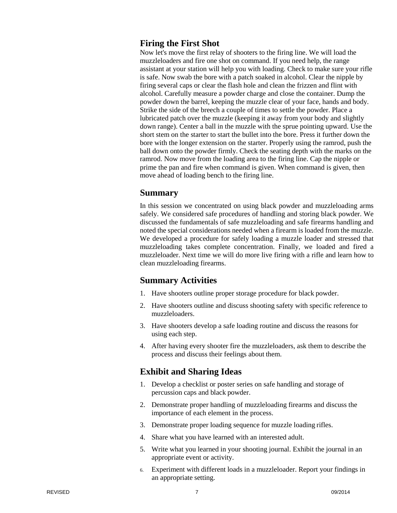#### **Firing the First Shot**

Now let's move the first relay of shooters to the firing line. We will load the muzzleloaders and fire one shot on command. If you need help, the range assistant at your station will help you with loading. Check to make sure your rifle is safe. Now swab the bore with a patch soaked in alcohol. Clear the nipple by firing several caps or clear the flash hole and clean the frizzen and flint with alcohol. Carefully measure a powder charge and close the container. Dump the powder down the barrel, keeping the muzzle clear of your face, hands and body. Strike the side of the breech a couple of times to settle the powder. Place a lubricated patch over the muzzle (keeping it away from your body and slightly down range). Center a ball in the muzzle with the sprue pointing upward. Use the short stem on the starter to start the bullet into the bore. Press it further down the bore with the longer extension on the starter. Properly using the ramrod, push the ball down onto the powder firmly. Check the seating depth with the marks on the ramrod. Now move from the loading area to the firing line. Cap the nipple or prime the pan and fire when command is given. When command is given, then move ahead of loading bench to the firing line.

#### **Summary**

In this session we concentrated on using black powder and muzzleloading arms safely. We considered safe procedures of handling and storing black powder. We discussed the fundamentals of safe muzzleloading and safe firearms handling and noted the special considerations needed when a firearm is loaded from the muzzle. We developed a procedure for safely loading a muzzle loader and stressed that muzzleloading takes complete concentration. Finally, we loaded and fired a muzzleloader. Next time we will do more live firing with a rifle and learn how to clean muzzleloading firearms.

#### **Summary Activities**

- 1. Have shooters outline proper storage procedure for black powder.
- 2. Have shooters outline and discuss shooting safety with specific reference to muzzleloaders.
- 3. Have shooters develop a safe loading routine and discuss the reasons for using each step.
- 4. After having every shooter fire the muzzleloaders, ask them to describe the process and discuss their feelings about them.

# **Exhibit and Sharing Ideas**

- 1. Develop a checklist or poster series on safe handling and storage of percussion caps and black powder.
- 2. Demonstrate proper handling of muzzleloading firearms and discuss the importance of each element in the process.
- 3. Demonstrate proper loading sequence for muzzle loading rifles.
- 4. Share what you have learned with an interested adult.
- 5. Write what you learned in your shooting journal. Exhibit the journal in an appropriate event or activity.
- 6. Experiment with different loads in a muzzleloader. Report your findings in an appropriate setting.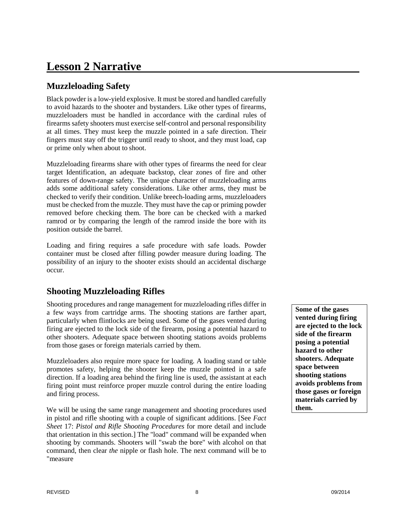# **Lesson 2 Narrative**

# **Muzzleloading Safety**

Black powder is a low-yield explosive. It must be stored and handled carefully to avoid hazards to the shooter and bystanders. Like other types of firearms, muzzleloaders must be handled in accordance with the cardinal rules of firearms safety shooters must exercise self-control and personal responsibility at all times. They must keep the muzzle pointed in a safe direction. Their fingers must stay off the trigger until ready to shoot, and they must load, cap or prime only when about to shoot.

Muzzleloading firearms share with other types of firearms the need for clear target Identification, an adequate backstop, clear zones of fire and other features of down-range safety. The unique character of muzzleloading arms adds some additional safety considerations. Like other arms, they must be checked to verify their condition. Unlike breech-loading arms, muzzleloaders must be checked from the muzzle. They must have the cap or priming powder removed before checking them. The bore can be checked with a marked ramrod or by comparing the length of the ramrod inside the bore with its position outside the barrel.

Loading and firing requires a safe procedure with safe loads. Powder container must be closed after filling powder measure during loading. The possibility of an injury to the shooter exists should an accidental discharge occur.

# **Shooting Muzzleloading Rifles**

Shooting procedures and range management for muzzleloading rifles differ in a few ways from cartridge arms. The shooting stations are farther apart, particularly when flintlocks are being used. Some of the gases vented during firing are ejected to the lock side of the firearm, posing a potential hazard to other shooters. Adequate space between shooting stations avoids problems from those gases or foreign materials carried by them.

Muzzleloaders also require more space for loading. A loading stand or table promotes safety, helping the shooter keep the muzzle pointed in a safe direction. If a loading area behind the firing line is used, the assistant at each firing point must reinforce proper muzzle control during the entire loading and firing process.

We will be using the same range management and shooting procedures used in pistol and rifle shooting with a couple of significant additions. [See *Fact Sheet* 17: *Pistol and Rifle Shooting Procedures* for more detail and include that orientation in this section.] The "load" command will be expanded when shooting by commands. Shooters will "swab the bore" with alcohol on that command, then clear *the* nipple or flash hole. The next command will be to "measure

**Some of the gases vented during firing are ejected to the lock side of the firearm posing a potential hazard to other shooters. Adequate space between shooting stations avoids problems from those gases or foreign materials carried by them.**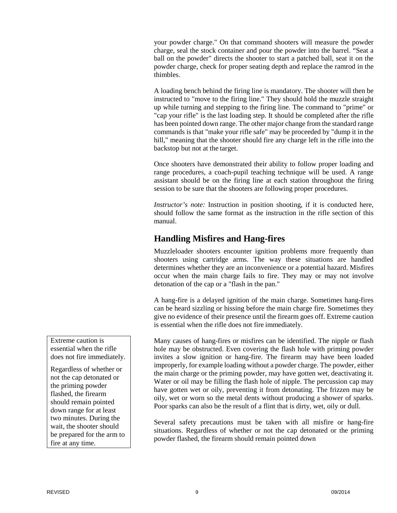your powder charge." On that command shooters will measure the powder charge, seal the stock container and pour the powder into the barrel. "Seat a ball on the powder" directs the shooter to start a patched ball, seat it on the powder charge, check for proper seating depth and replace the ramrod in the thimbles.

A loading bench behind the firing line is mandatory. The shooter will then be instructed to "move to the firing line." They should hold the muzzle straight up while turning and stepping to the firing line. The command to "prime" or "cap your rifle" is the last loading step. It should be completed after the rifle has been pointed down range. The other major change from the standard range commands is that "make your rifle safe" may be proceeded by "dump it in the hill," meaning that the shooter should fire any charge left in the rifle into the backstop but not at the target.

Once shooters have demonstrated their ability to follow proper loading and range procedures, a coach-pupil teaching technique will be used. A range assistant should be on the firing line at each station throughout the firing session to be sure that the shooters are following proper procedures.

*Instructor's note:* Instruction in position shooting, if it is conducted here, should follow the same format as the instruction in the rifle section of this manual.

# **Handling Misfires and Hang-fires**

Muzzleloader shooters encounter ignition problems more frequently than shooters using cartridge arms. The way these situations are handled determines whether they are an inconvenience or a potential hazard. Misfires occur when the main charge fails to fire. They may or may not involve detonation of the cap or a "flash in the pan."

A hang-fire is a delayed ignition of the main charge. Sometimes hang-fires can be heard sizzling or hissing before the main charge fire. Sometimes they give no evidence of their presence until the firearm goes off. Extreme caution is essential when the rifle does not fire immediately.

Many causes of hang-fires or misfires can be identified. The nipple or flash hole may be obstructed. Even covering the flash hole with priming powder invites a slow ignition or hang-fire. The firearm may have been loaded improperly, for example loading without a powder charge. The powder, either the main charge or the priming powder, may have gotten wet, deactivating it. Water or oil may be filling the flash hole of nipple. The percussion cap may have gotten wet or oily, preventing it from detonating. The frizzen may be oily, wet or worn so the metal dents without producing a shower of sparks. Poor sparks can also be the result of a flint that is dirty, wet, oily or dull.

Several safety precautions must be taken with all misfire or hang-fire situations. Regardless of whether or not the cap detonated or the priming powder flashed, the firearm should remain pointed down

Extreme caution is essential when the rifle does not fire immediately.

Regardless of whether or not the cap detonated or the priming powder flashed, the firearm should remain pointed down range for at least two minutes. During the wait, the shooter should be prepared for the arm to fire at any time.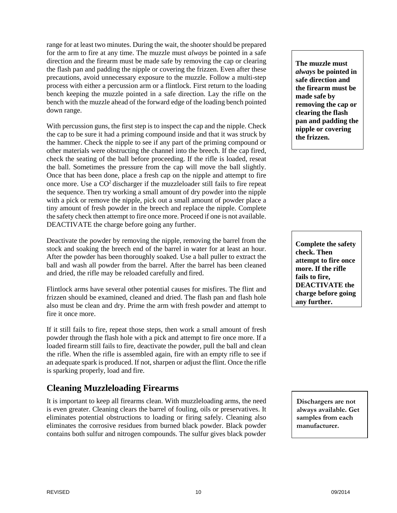range for at least two minutes. During the wait, the shooter should be prepared for the arm to fire at any time. The muzzle must *always* be pointed in a safe direction and the firearm must be made safe by removing the cap or clearing the flash pan and padding the nipple or covering the frizzen. Even after these precautions, avoid unnecessary exposure to the muzzle. Follow a multi-step process with either a percussion arm or a flintlock. First return to the loading bench keeping the muzzle pointed in a safe direction. Lay the rifle on the bench with the muzzle ahead of the forward edge of the loading bench pointed down range.

With percussion guns, the first step is to inspect the cap and the nipple. Check the cap to be sure it had a priming compound inside and that it was struck by the hammer. Check the nipple to see if any part of the priming compound or other materials were obstructing the channel into the breech. If the cap fired, check the seating of the ball before proceeding. If the rifle is loaded, reseat the ball. Sometimes the pressure from the cap will move the ball slightly. Once that has been done, place a fresh cap on the nipple and attempt to fire once more. Use a CO2 discharger if the muzzleloader still fails to fire repeat the sequence. Then try working a small amount of dry powder into the nipple with a pick or remove the nipple, pick out a small amount of powder place a tiny amount of fresh powder in the breech and replace the nipple. Complete the safety check then attempt to fire once more. Proceed if one is not available. DEACTIVATE the charge before going any further.

Deactivate the powder by removing the nipple, removing the barrel from the stock and soaking the breech end of the barrel in water for at least an hour. After the powder has been thoroughly soaked. Use a ball puller to extract the ball and wash all powder from the barrel. After the barrel has been cleaned and dried, the rifle may be reloaded carefully and fired.

Flintlock arms have several other potential causes for misfires. The flint and frizzen should be examined, cleaned and dried. The flash pan and flash hole also must be clean and dry. Prime the arm with fresh powder and attempt to fire it once more.

If it still fails to fire, repeat those steps, then work a small amount of fresh powder through the flash hole with a pick and attempt to fire once more. If a loaded firearm still fails to fire, deactivate the powder, pull the ball and clean the rifle. When the rifle is assembled again, fire with an empty rifle to see if an adequate spark is produced. If not, sharpen or adjust the flint. Once the rifle is sparking properly, load and fire.

# **Cleaning Muzzleloading Firearms**

It is important to keep all firearms clean. With muzzleloading arms, the need is even greater. Cleaning clears the barrel of fouling, oils or preservatives. It eliminates potential obstructions to loading or firing safely. Cleaning also eliminates the corrosive residues from burned black powder. Black powder contains both sulfur and nitrogen compounds. The sulfur gives black powder

**The muzzle must**  *always* **be pointed in safe direction and the firearm must be made safe by removing the cap or clearing the flash pan and padding the nipple or covering the frizzen.**

**Complete the safety check. Then attempt to fire once more. If the rifle fails to fire, DEACTIVATE the charge before going any further.**

**Dischargers are not always available. Get samples from each manufacturer.**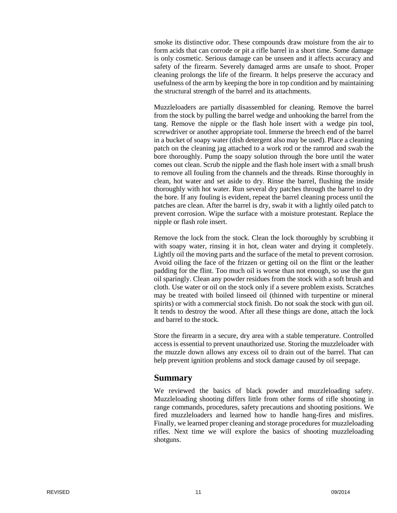smoke its distinctive odor. These compounds draw moisture from the air to form acids that can corrode or pit a rifle barrel in a short time. Some damage is only cosmetic. Serious damage can be unseen and it affects accuracy and safety of the firearm. Severely damaged arms are unsafe to shoot. Proper cleaning prolongs the life of the firearm. It helps preserve the accuracy and usefulness of the arm by keeping the bore in top condition and by maintaining the structural strength of the barrel and its attachments.

Muzzleloaders are partially disassembled for cleaning. Remove the barrel from the stock by pulling the barrel wedge and unhooking the barrel from the tang. Remove the nipple or the flash hole insert with a wedge pin tool, screwdriver or another appropriate tool. Immerse the breech end of the barrel in a bucket of soapy water (dish detergent also may be used). Place a cleaning patch on the cleaning jag attached to a work rod or the ramrod and swab the bore thoroughly. Pump the soapy solution through the bore until the water comes out clean. Scrub the nipple and the flash hole insert with a small brush to remove all fouling from the channels and the threads. Rinse thoroughly in clean, hot water and set aside to dry. Rinse the barrel, flushing the inside thoroughly with hot water. Run several dry patches through the barrel to dry the bore. If any fouling is evident, repeat the barrel cleaning process until the patches are clean. After the barrel is dry, swab it with a lightly oiled patch to prevent corrosion. Wipe the surface with a moisture protestant. Replace the nipple or flash role insert.

Remove the lock from the stock. Clean the lock thoroughly by scrubbing it with soapy water, rinsing it in hot, clean water and drying it completely. Lightly oil the moving parts and the surface of the metal to prevent corrosion. Avoid oiling the face of the frizzen or getting oil on the flint or the leather padding for the flint. Too much oil is worse than not enough, so use the gun oil sparingly. Clean any powder residues from the stock with a soft brush and cloth. Use water or oil on the stock only if a severe problem exists. Scratches may be treated with boiled linseed oil (thinned with turpentine or mineral spirits) or with a commercial stock finish. Do not soak the stock with gun oil. It tends to destroy the wood. After all these things are done, attach the lock and barrel to the stock.

Store the firearm in a secure, dry area with a stable temperature. Controlled access is essential to prevent unauthorized use. Storing the muzzleloader with the muzzle down allows any excess oil to drain out of the barrel. That can help prevent ignition problems and stock damage caused by oil seepage.

#### **Summary**

We reviewed the basics of black powder and muzzleloading safety. Muzzleloading shooting differs little from other forms of rifle shooting in range commands, procedures, safety precautions and shooting positions. We fired muzzleloaders and learned how to handle hang-fires and misfires. Finally, we learned proper cleaning and storage procedures for muzzleloading rifles. Next time we will explore the basics of shooting muzzleloading shotguns.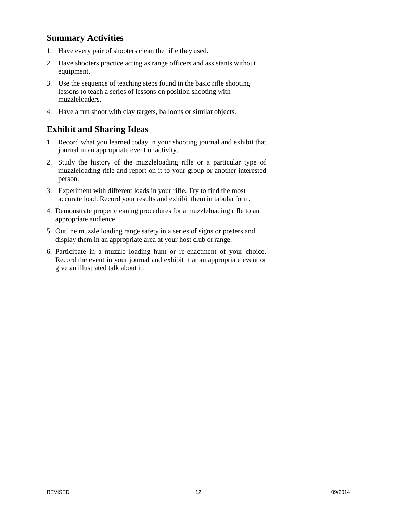# **Summary Activities**

- 1. Have every pair of shooters clean the rifle they used.
- 2. Have shooters practice acting as range officers and assistants without equipment.
- 3. Use the sequence of teaching steps found in the basic rifle shooting lessons to teach a series of lessons on position shooting with muzzleloaders.
- 4. Have a fun shoot with clay targets, balloons or similar objects.

# **Exhibit and Sharing Ideas**

- 1. Record what you learned today in your shooting journal and exhibit that journal in an appropriate event or activity.
- 2. Study the history of the muzzleloading rifle or a particular type of muzzleloading rifle and report on it to your group or another interested person.
- 3. Experiment with different loads in your rifle. Try to find the most accurate load. Record your results and exhibit them in tabular form.
- 4. Demonstrate proper cleaning procedures for a muzzleloading rifle to an appropriate audience.
- 5. Outline muzzle loading range safety in a series of signs or posters and display them in an appropriate area at your host club or range.
- 6. Participate in a muzzle loading hunt or re-enactment of your choice. Record the event in your journal and exhibit it at an appropriate event or give an illustrated talk about it.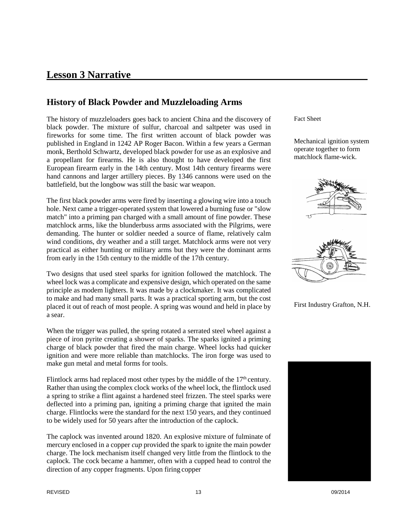# **Lesson 3 Narrative**

# **History of Black Powder and Muzzleloading Arms**

The history of muzzleloaders goes back to ancient China and the discovery of black powder. The mixture of sulfur, charcoal and saltpeter was used in fireworks for some time. The first written account of black powder was published in England in 1242 AP Roger Bacon. Within a few years a German monk, Berthold Schwartz, developed black powder for use as an explosive and a propellant for firearms. He is also thought to have developed the first European firearm early in the 14th century. Most 14th century firearms were hand cannons and larger artillery pieces. By 1346 cannons were used on the battlefield, but the longbow was still the basic war weapon.

The first black powder arms were fired by inserting a glowing wire into a touch hole. Next came a trigger-operated system that lowered a burning fuse or "slow match" into a priming pan charged with a small amount of fine powder. These matchlock arms, like the blunderbuss arms associated with the Pilgrims, were demanding. The hunter or soldier needed a source of flame, relatively calm wind conditions, dry weather and a still target. Matchlock arms were not very practical as either hunting or military arms but they were the dominant arms from early in the 15th century to the middle of the 17th century.

Two designs that used steel sparks for ignition followed the matchlock. The wheel lock was a complicate and expensive design, which operated on the same principle as modem lighters. It was made by a clockmaker. It was complicated to make and had many small parts. It was a practical sporting arm, but the cost placed it out of reach of most people. A spring was wound and held in place by a sear.

When the trigger was pulled, the spring rotated a serrated steel wheel against a piece of iron pyrite creating a shower of sparks. The sparks ignited a priming charge of black powder that fired the main charge. Wheel locks had quicker ignition and were more reliable than matchlocks. The iron forge was used to make gun metal and metal forms for tools.

Flintlock arms had replaced most other types by the middle of the  $17<sup>th</sup>$  century. Rather than using the complex clock works of the wheel lock, the flintlock used a spring to strike a flint against a hardened steel frizzen. The steel sparks were deflected into a priming pan, igniting a priming charge that ignited the main charge. Flintlocks were the standard for the next 150 years, and they continued to be widely used for 50 years after the introduction of the caplock.

The caplock was invented around 1820. An explosive mixture of fulminate of mercury enclosed in a copper *cup* provided the spark to ignite the main powder charge. The lock mechanism itself changed very little from the flintlock to the caplock. The cock became a hammer, often with a cupped head to control the direction of any copper fragments. Upon firing copper

Fact Sheet

Mechanical ignition system operate together to form matchlock flame-wick.





First Industry Grafton, N.H.

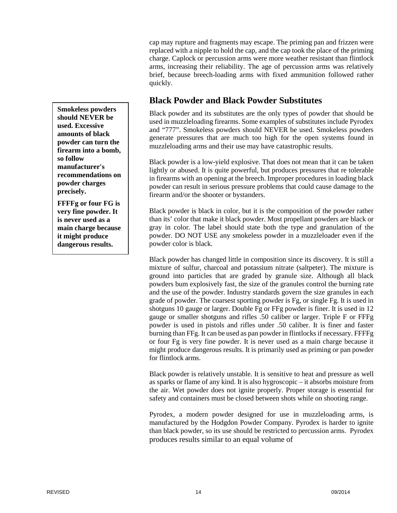cap may rupture and fragments may escape. The priming pan and frizzen were replaced with a nipple to hold the cap, and the cap took the place of the priming charge. Caplock or percussion arms were more weather resistant than flintlock arms, increasing their reliability. The age of percussion arms was relatively brief, because breech-loading arms with fixed ammunition followed rather quickly.

# **Black Powder and Black Powder Substitutes**

Black powder and its substitutes are the only types of powder that should be used in muzzleloading firearms. Some examples of substitutes include Pyrodex and "777". Smokeless powders should NEVER be used. Smokeless powders generate pressures that are much too high for the open systems found in muzzleloading arms and their use may have catastrophic results.

Black powder is a low-yield explosive. That does not mean that it can be taken lightly or abused. It is quite powerful, but produces pressures that re tolerable in firearms with an opening at the breech. Improper procedures in loading black powder can result in serious pressure problems that could cause damage to the firearm and/or the shooter or bystanders.

Black powder is black in color, but it is the composition of the powder rather than its' color that make it black powder. Most propellant powders are black or gray in color. The label should state both the type and granulation of the powder. DO NOT USE any smokeless powder in a muzzleloader even if the powder color is black.

Black powder has changed little in composition since its discovery. It is still a mixture of sulfur, charcoal and potassium nitrate (saltpeter). The mixture is ground into particles that are graded by granule size. Although all black powders bum explosively fast, the size of the granules control the burning rate and the use of the powder. Industry standards govern the size granules in each grade of powder. The coarsest sporting powder is Fg, or single Fg. It is used in shotguns 10 gauge or larger. Double Fg or FFg powder is finer. It is used in 12 gauge or smaller shotguns and rifles .50 caliber or larger. Triple F or FFFg powder is used in pistols and rifles under .50 caliber. It is finer and faster burning than FFg. It can be used as pan powder in flintlocks if necessary. FFFFg or four Fg is very fine powder. It is never used as a main charge because it might produce dangerous results. It is primarily used as priming or pan powder for flintlock arms.

Black powder is relatively unstable. It is sensitive to heat and pressure as well as sparks or flame of any kind. It is also hygroscopic – it absorbs moisture from the air. Wet powder does not ignite properly. Proper storage is essential for safety and containers must be closed between shots while on shooting range.

Pyrodex, a modern powder designed for use in muzzleloading arms, is manufactured by the Hodgdon Powder Company. Pyrodex is harder to ignite than black powder, so its use should be restricted to percussion arms. Pyrodex produces results similar to an equal volume of

**Smokeless powders should NEVER be used. Excessive amounts of black powder can turn the firearm into a bomb, so follow manufacturer's recommendations on powder charges precisely.**

**FFFFg or four FG is very fine powder. It is never used as a main charge because it might produce dangerous results.**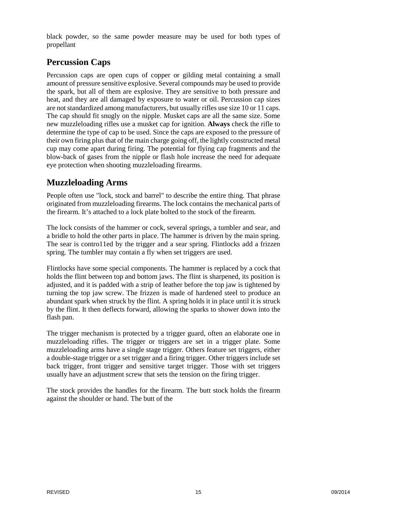black powder, so the same powder measure may be used for both types of propellant

# **Percussion Caps**

Percussion caps are open cups of copper or gilding metal containing a small amount of pressure sensitive explosive. Several compounds may be used to provide the spark, but all of them are explosive. They are sensitive to both pressure and heat, and they are all damaged by exposure to water or oil. Percussion cap sizes are not standardized among manufacturers, but usually rifles use size 10 or 11 caps. The cap should fit snugly on the nipple. Musket caps are all the same size. Some new muzzleloading rifles use a musket cap for ignition. **Always** check the rifle to determine the type of cap to be used. Since the caps are exposed to the pressure of their own firing plus that of the main charge going off, the lightly constructed metal cup may come apart during firing. The potential for flying cap fragments and the blow-back of gases from the nipple or flash hole increase the need for adequate eye protection when shooting muzzleloading firearms.

# **Muzzleloading Arms**

People often use "lock, stock and barrel" to describe the entire thing. That phrase originated from muzzleloading firearms. The lock contains the mechanical parts of the firearm. It's attached to a lock plate bolted to the stock of the firearm.

The lock consists of the hammer or cock, several springs, a tumbler and sear, and a bridle to hold the other parts in place. The hammer is driven by the main spring. The sear is contro11ed by the trigger and a sear spring. Flintlocks add a frizzen spring. The tumbler may contain a fly when set triggers are used.

Flintlocks have some special components. The hammer is replaced by a cock that holds the flint between top and bottom jaws. The flint is sharpened, its position is adjusted, and it is padded with a strip of leather before the top jaw is tightened by turning the top jaw screw. The frizzen is made of hardened steel to produce an abundant spark when struck by the flint. A spring holds it in place until it is struck by the flint. It then deflects forward, allowing the sparks to shower down into the flash pan.

The trigger mechanism is protected by a trigger guard, often an elaborate one in muzzleloading rifles. The trigger or triggers are set in a trigger plate. Some muzzleloading arms have a single stage trigger. Others feature set triggers, either a double-stage trigger or a set trigger and a firing trigger. Other triggers include set back trigger, front trigger and sensitive target trigger. Those with set triggers usually have an adjustment screw that sets the tension on the firing trigger.

The stock provides the handles for the firearm. The butt stock holds the firearm against the shoulder or hand. The butt of the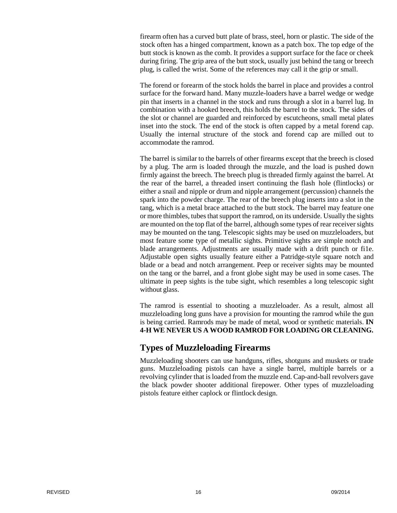firearm often has a curved butt plate of brass, steel, horn or plastic. The side of the stock often has a hinged compartment, known as a patch box. The top edge of the butt stock is known as the comb. It provides a support surface for the face or cheek during firing. The grip area of the butt stock, usually just behind the tang or breech plug, is called the wrist. Some of the references may call it the grip or small.

The forend or forearm of the stock holds the barrel in place and provides a control surface for the forward hand. Many muzzle-loaders have a barrel wedge or wedge pin that inserts in a channel in the stock and runs through a slot in a barrel lug. In combination with a hooked breech, this holds the barrel to the stock. The sides of the slot or channel are guarded and reinforced by escutcheons, small metal plates inset into the stock. The end of the stock is often capped by a metal forend cap. Usually the internal structure of the stock and forend cap are milled out to accommodate the ramrod.

The barrel is similar to the barrels of other firearms except that the breech is closed by a plug. The arm is loaded through the muzzle, and the load is pushed down firmly against the breech. The breech plug is threaded firmly against the barrel. At the rear of the barrel, a threaded insert continuing the flash hole (flintlocks) or either a snail and nipple or drum and nipple arrangement (percussion) channels the spark into the powder charge. The rear of the breech plug inserts into a slot in the tang, which is a metal brace attached to the butt stock. The barrel may feature one or more thimbles, tubes that support the ramrod, on its underside. Usually the sights are mounted on the top flat of the barrel, although some types of rear receiver sights may be mounted on the tang. Telescopic sights may be used on muzzleloaders, but most feature some type of metallic sights. Primitive sights are simple notch and blade arrangements. Adjustments are usually made with a drift punch or fi1e. Adjustable open sights usually feature either a Patridge-style square notch and blade or a bead and notch arrangement. Peep or receiver sights may be mounted on the tang or the barrel, and a front globe sight may be used in some cases. The ultimate in peep sights is the tube sight, which resembles a long telescopic sight without glass.

The ramrod is essential to shooting a muzzleloader. As a result, almost all muzzleloading long guns have a provision for mounting the ramrod while the gun is being carried. Ramrods may be made of metal, wood or synthetic materials. **IN 4-H WE NEVER US A WOOD RAMROD FOR LOADING OR CLEANING.**

#### **Types of Muzzleloading Firearms**

Muzzleloading shooters can use handguns, rifles, shotguns and muskets or trade guns. Muzzleloading pistols can have a single barrel, multiple barrels or a revolving cylinder that is loaded from the muzzle end. Cap-and-ball revolvers gave the black powder shooter additional firepower. Other types of muzzleloading pistols feature either caplock or flintlock design.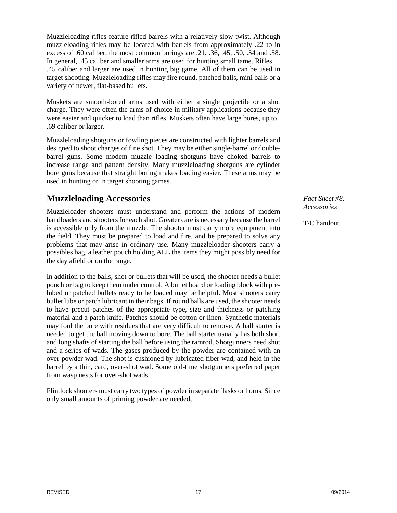Muzzleloading rifles feature rifled barrels with a relatively slow twist. Although muzzleloading rifles may be located with barrels from approximately .22 to in excess of .60 caliber, the most common borings are .21, .36, .45, .50, .54 and .58. In general, .45 caliber and smaller arms are used for hunting small tame. Rifles .45 caliber and larger are used in hunting big game. All of them can be used in target shooting. Muzzleloading rifles may fire round, patched balls, mini balls or a variety of newer, flat-based bullets.

Muskets are smooth-bored arms used with either a single projectile or a shot charge. They were often the arms of choice in military applications because they were easier and quicker to load than rifles. Muskets often have large bores, up to .69 caliber or larger.

Muzzleloading shotguns or fowling pieces are constructed with lighter barrels and designed to shoot charges of fine shot. They may be either single-barrel or doublebarrel guns. Some modem muzzle loading shotguns have choked barrels to increase range and pattern density. Many muzzleloading shotguns are cylinder bore guns because that straight boring makes loading easier. These arms may be used in hunting or in target shooting games.

# **Muzzleloading Accessories**

Muzzleloader shooters must understand and perform the actions of modern handloaders and shooters for each shot. Greater care is necessary because the barrel is accessible only from the muzzle. The shooter must carry more equipment into the field. They must be prepared to load and fire, and be prepared to solve any problems that may arise in ordinary use. Many muzzleloader shooters carry a possibles bag, a leather pouch holding ALL the items they might possibly need for the day afield or on the range.

In addition to the balls, shot or bullets that will be used, the shooter needs a bullet pouch or bag to keep them under control. A bullet board or loading block with prelubed or patched bullets ready to be loaded may be helpful. Most shooters carry bullet lube or patch lubricant in their bags. If round balls are used, the shooter needs to have precut patches of the appropriate type, size and thickness or patching material and a patch knife. Patches should be cotton or linen. Synthetic materials may foul the bore with residues that are very difficult to remove. A ball starter is needed to get the ball moving down to bore. The ball starter usually has both short and long shafts of starting the ball before using the ramrod. Shotgunners need shot and a series of wads. The gases produced by the powder are contained with an over-powder wad. The shot is cushioned by lubricated fiber wad, and held in the barrel by a thin, card, over-shot wad. Some old-time shotgunners preferred paper from wasp nests for over-shot wads.

Flintlock shooters must carry two types of powder in separate flasks or horns. Since only small amounts of priming powder are needed,

*Fact Sheet #8: Accessories*

T/C handout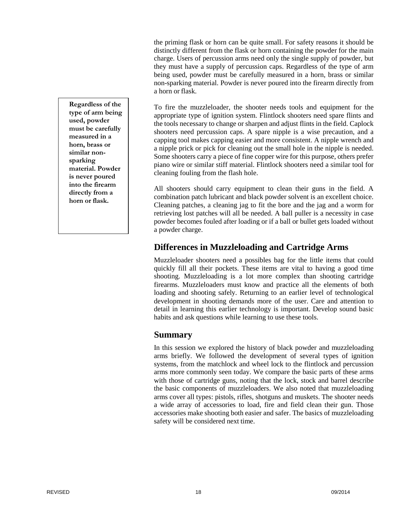the priming flask or horn can be quite small. For safety reasons it should be distinctly different from the flask or horn containing the powder for the main charge. Users of percussion arms need only the single supply of powder, but they must have a supply of percussion caps. Regardless of the type of arm being used, powder must be carefully measured in a horn, brass or similar non-sparking material. Powder is never poured into the firearm directly from a horn or flask.

To fire the muzzleloader, the shooter needs tools and equipment for the appropriate type of ignition system. Flintlock shooters need spare flints and the tools necessary to change or sharpen and adjust flints in the field. Caplock shooters need percussion caps. A spare nipple is a wise precaution, and a capping tool makes capping easier and more consistent. A nipple wrench and a nipple prick or pick for cleaning out the small hole in the nipple is needed. Some shooters carry a piece of fine copper wire for this purpose, others prefer piano wire or similar stiff material. Flintlock shooters need a similar tool for cleaning fouling from the flash hole.

All shooters should carry equipment to clean their guns in the field. A combination patch lubricant and black powder solvent is an excellent choice. Cleaning patches, a cleaning jag to fit the bore and the jag and a worm for retrieving lost patches will all be needed. A ball puller is a necessity in case powder becomes fouled after loading or if a ball or bullet gets loaded without a powder charge.

# **Differences in Muzzleloading and Cartridge Arms**

Muzzleloader shooters need a possibles bag for the little items that could quickly fill all their pockets. These items are vital to having a good time shooting. Muzzleloading is a lot more complex than shooting cartridge firearms. Muzzleloaders must know and practice all the elements of both loading and shooting safely. Returning to an earlier level of technological development in shooting demands more of the user. Care and attention to detail in learning this earlier technology is important. Develop sound basic habits and ask questions while learning to use these tools.

# **Summary**

In this session we explored the history of black powder and muzzleloading arms briefly. We followed the development of several types of ignition systems, from the matchlock and wheel lock to the flintlock and percussion arms more commonly seen today. We compare the basic parts of these arms with those of cartridge guns, noting that the lock, stock and barrel describe the basic components of muzzleloaders. We also noted that muzzleloading arms cover all types: pistols, rifles, shotguns and muskets. The shooter needs a wide array of accessories to load, fire and field clean their gun. Those accessories make shooting both easier and safer. The basics of muzzleloading safety will be considered next time.

**Regardless of the type of arm being used, powder must be carefully measured in a horn, brass or similar nonsparking material. Powder is never poured into the firearm directly from a horn or flask.**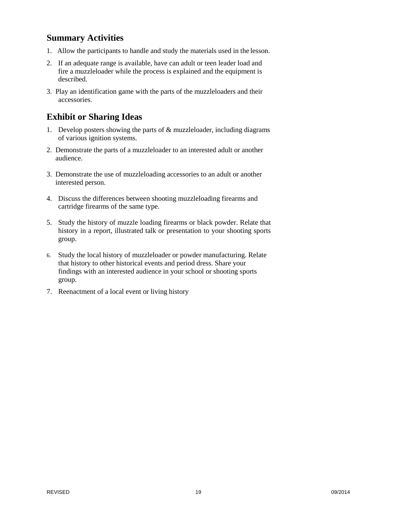## **Summary Activities**

- 1. Allow the participants to handle and study the materials used in the lesson.
- 2. If an adequate range is available, have can adult or teen leader load and fire a muzzleloader while the process is explained and the equipment is described.
- 3. Play an identification game with the parts of the muzzleloaders and their accessories.

# **Exhibit or Sharing Ideas**

- 1. Develop posters showing the parts of & muzzleloader, including diagrams of various ignition systems.
- 2. Demonstrate the parts of a muzzleloader to an interested adult or another audience.
- 3. Demonstrate the use of muzzleloading accessories to an adult or another interested person.
- 4. Discuss the differences between shooting muzzleloading firearms and cartridge firearms of the same type.
- 5. Study the history of muzzle loading firearms or black powder. Relate that history in a report, illustrated talk or presentation to your shooting sports group.
- 6. Study the local history of muzzleloader or powder manufacturing. Relate that history to other historical events and period dress. Share your findings with an interested audience in your school or shooting sports group.
- 7. Reenactment of a local event or living history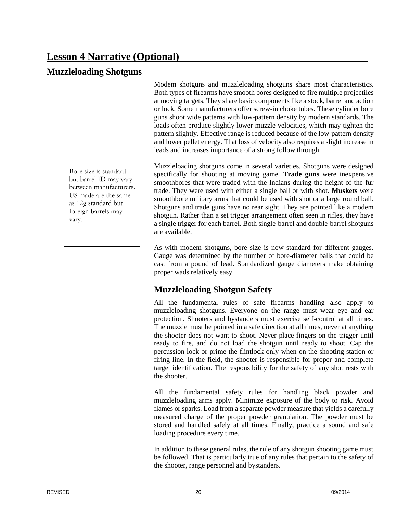# **Lesson 4 Narrative (Optional)**

## **Muzzleloading Shotguns**

Bore size is standard but barrel ID may vary between manufacturers. US made are the same as 12g standard but foreign barrels may vary.

Modem shotguns and muzzleloading shotguns share most characteristics. Both types of firearms have smooth bores designed to fire multiple projectiles at moving targets. They share basic components like a stock, barrel and action or lock. Some manufacturers offer screw-in choke tubes. These cylinder bore guns shoot wide patterns with low-pattern density by modern standards. The loads often produce slightly lower muzzle velocities, which may tighten the pattern slightly. Effective range is reduced because of the low-pattern density and lower pellet energy. That loss of velocity also requires a slight increase in leads and increases importance of a strong follow through.

Muzzleloading shotguns come in several varieties. Shotguns were designed specifically for shooting at moving game. **Trade guns** were inexpensive smoothbores that were traded with the Indians during the height of the fur trade. They were used with either a single ball or with shot. **Muskets** were smoothbore military arms that could be used with shot or a large round ball. Shotguns and trade guns have no rear sight. They are pointed like a modem shotgun. Rather than a set trigger arrangement often seen in rifles, they have a single trigger for each barrel. Both single-barrel and double-barrel shotguns are available.

As with modem shotguns, bore size is now standard for different gauges. Gauge was determined by the number of bore-diameter balls that could be cast from a pound of lead. Standardized gauge diameters make obtaining proper wads relatively easy.

# **Muzzleloading Shotgun Safety**

All the fundamental rules of safe firearms handling also apply to muzzleloading shotguns. Everyone on the range must wear eye and ear protection. Shooters and bystanders must exercise self-control at all times. The muzzle must be pointed in a safe direction at all times, never at anything the shooter does not want to shoot. Never place fingers on the trigger until ready to fire, and do not load the shotgun until ready to shoot. Cap the percussion lock or prime the flintlock only when on the shooting station or firing line. In the field, the shooter is responsible for proper and complete target identification. The responsibility for the safety of any shot rests with the shooter.

All the fundamental safety rules for handling black powder and muzzleloading arms apply. Minimize exposure of the body to risk. Avoid flames or sparks. Load from a separate powder measure that yields a carefully measured charge of the proper powder granulation. The powder must be stored and handled safely at all times. Finally, practice a sound and safe loading procedure every time.

In addition to these general rules, the rule of any shotgun shooting game must be followed. That is particularly true of any rules that pertain to the safety of the shooter, range personnel and bystanders.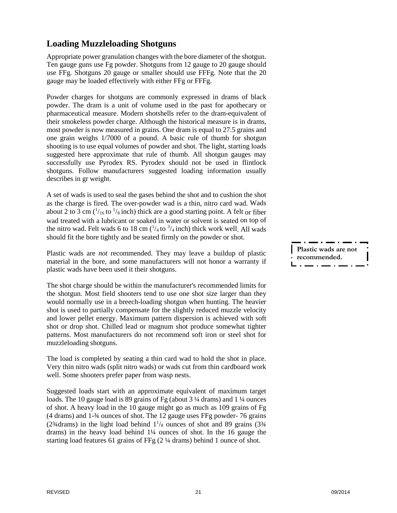# **Loading Muzzleloading Shotguns**

Appropriate power granulation changes with the bore diameter of the shotgun. Ten gauge guns use Fg powder. Shotguns from 12 gauge to 20 gauge should use FFg. Shotguns 20 gauge or smaller should use FFFg. Note that the 20 gauge may be loaded effectively with either FFg or FFFg.

Powder charges for shotguns are commonly expressed in drams of black powder. The dram is a unit of volume used in the past for apothecary or pharmaceutical measure. Modern shotshells refer to the dram-equivalent of their smokeless powder charge. Although the historical measure is in drams, most powder is now measured in grains. One dram is equal to 27.5 grains and one grain weighs 1/7000 of a pound. A basic rule of thumb for shotgun shooting is to use equal volumes of powder and shot. The light, starting loads suggested here approximate that rule of thumb. All shotgun gauges may successfully use Pyrodex RS. Pyrodex should not be used in flintlock shotguns. Follow manufacturers suggested loading information usually describes in gr weight.

A set of wads is used to seal the gases behind the shot and to cushion the shot as the charge is fired. The over-powder wad is a thin, nitro card wad. Wads about 2 to 3 cm  $\binom{1}{16}$  to  $\frac{1}{8}$  inch) thick are a good starting point. A felt or fiber wad treated with a lubricant or soaked in water or solvent is seated on top of the nitro wad. Felt wads 6 to 18 cm  $\frac{1}{4}$  to  $\frac{3}{4}$  inch) thick work well. All wads should fit the bore tightly and be seated firmly on the powder or shot.

Plastic wads are *not* recommended. They may leave a buildup of plastic material in the bore, and some manufacturers will not honor a warranty if plastic wads have been used it their shotguns.

The shot charge should be within the manufacturer's recommended limits for the shotgun. Most field shooters tend to use one shot size larger than they would normally use in a breech-loading shotgun when hunting. The heavier shot is used to partially compensate for the slightly reduced muzzle velocity and lower pellet energy. Maximum pattern dispersion is achieved with soft shot or drop shot. Chilled lead or magnum shot produce somewhat tighter patterns. Most manufacturers do not recommend soft iron or steel shot for muzzleloading shotguns.

The load is completed by seating a thin card wad to hold the shot in place. Very thin nitro wads (split nitro wads) or wads cut from thin cardboard work well. Some shooters prefer paper from wasp nests.

Suggested loads start with an approximate equivalent of maximum target loads. The 10 gauge load is 89 grains of Fg (about 3 ¼ drams) and 1 ¼ ounces of shot. A heavy load in the 10 gauge might go as much as 109 grains of Fg (4 drams) and 1-¾ ounces of shot. The 12 gauge uses FFg powder- 76 grains (2<sup>3</sup>/<sub>4</sub> drams) in the light load behind  $1\frac{1}{8}$  ounces of shot and 89 grains (3<sup>3</sup>/<sub>4</sub> drams) in the heavy load behind 1¼ ounces of shot. In the 16 gauge the starting load features 61 grains of FFg (2 ¼ drams) behind 1 ounce of shot.

**Plastic wads are not recommended.**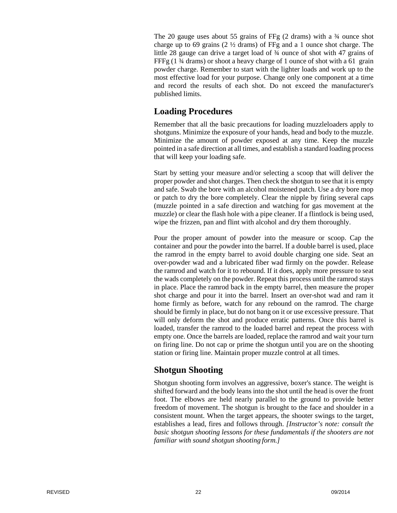The 20 gauge uses about 55 grains of FFg (2 drams) with a ¾ ounce shot charge up to 69 grains (2 ½ drams) of FFg and a 1 ounce shot charge. The little 28 gauge can drive a target load of ¾ ounce of shot with 47 grains of FFFg (1  $\frac{3}{4}$  drams) or shoot a heavy charge of 1 ounce of shot with a 61 grain powder charge. Remember to start with the lighter loads and work up to the most effective load for your purpose. Change only one component at a time and record the results of each shot. Do not exceed the manufacturer's published limits.

# **Loading Procedures**

Remember that all the basic precautions for loading muzzleloaders apply to shotguns. Minimize the exposure of your hands, head and body to the muzzle. Minimize the amount of powder exposed at any time. Keep the muzzle pointed in a safe direction at all times, and establish a standard loading process that will keep your loading safe.

Start by setting your measure and/or selecting a scoop that will deliver the proper powder and shot charges. Then check the shotgun to see that it is empty and safe. Swab the bore with an alcohol moistened patch. Use a dry bore mop or patch to dry the bore completely. Clear the nipple by firing several caps (muzzle pointed in a safe direction and watching for gas movement at the muzzle) or clear the flash hole with a pipe cleaner. If a flintlock is being used, wipe the frizzen, pan and flint with alcohol and dry them thoroughly.

Pour the proper amount of powder into the measure or scoop. Cap the container and pour the powder into the barrel. If a double barrel is used, place the ramrod in the empty barrel to avoid double charging one side. Seat an over-powder wad and a lubricated fiber wad firmly on the powder. Release the ramrod and watch for it to rebound. If it does, apply more pressure to seat the wads completely on the powder. Repeat this process until the ramrod stays in place. Place the ramrod back in the empty barrel, then measure the proper shot charge and pour it into the barrel. Insert an over-shot wad and ram it home firmly as before, watch for any rebound on the ramrod. The charge should be firmly in place, but do not bang on it or use excessive pressure. That will only deform the shot and produce erratic patterns. Once this barrel is loaded, transfer the ramrod to the loaded barrel and repeat the process with empty one. Once the barrels are loaded, replace the ramrod and wait your turn on firing line. Do not cap or prime the shotgun until you are on the shooting station or firing line. Maintain proper muzzle control at all times.

# **Shotgun Shooting**

Shotgun shooting form involves an aggressive, boxer's stance. The weight is shifted forward and the body leans into the shot until the head is over the front foot. The elbows are held nearly parallel to the ground to provide better freedom of movement. The shotgun is brought to the face and shoulder in a consistent mount. When the target appears, the shooter swings to the target, establishes a lead, fires and follows through. *[Instructor's note: consult the basic shotgun shooting lessons for these fundamentals if the shooters are not familiar with sound shotgun shooting form.]*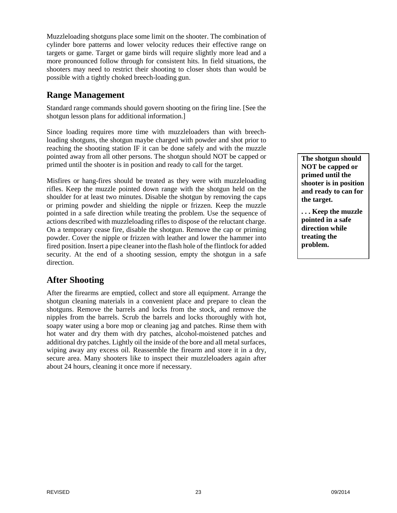Muzzleloading shotguns place some limit on the shooter. The combination of cylinder bore patterns and lower velocity reduces their effective range on targets or game. Target or game birds will require slightly more lead and a more pronounced follow through for consistent hits. In field situations, the shooters may need to restrict their shooting to closer shots than would be possible with a tightly choked breech-loading gun.

# **Range Management**

Standard range commands should govern shooting on the firing line. [See the shotgun lesson plans for additional information.]

Since loading requires more time with muzzleloaders than with breechloading shotguns, the shotgun maybe charged with powder and shot prior to reaching the shooting station IF it can be done safely and with the muzzle pointed away from all other persons. The shotgun should NOT be capped or primed until the shooter is in position and ready to call for the target.

Misfires or hang-fires should be treated as they were with muzzleloading rifles. Keep the muzzle pointed down range with the shotgun held on the shoulder for at least two minutes. Disable the shotgun by removing the caps or priming powder and shielding the nipple or frizzen. Keep the muzzle pointed in a safe direction while treating the problem. Use the sequence of actions described with muzzleloading rifles to dispose of the reluctant charge. On a temporary cease fire, disable the shotgun. Remove the cap or priming powder. Cover the nipple or frizzen with leather and lower the hammer into fired position. Insert a pipe cleaner into the flash hole of the flintlock for added security. At the end of a shooting session, empty the shotgun in a safe direction.

# **After Shooting**

After the firearms are emptied, collect and store all equipment. Arrange the shotgun cleaning materials in a convenient place and prepare to clean the shotguns. Remove the barrels and locks from the stock, and remove the nipples from the barrels. Scrub the barrels and locks thoroughly with hot, soapy water using a bore mop or cleaning jag and patches. Rinse them with hot water and dry them with dry patches, alcohol-moistened patches and additional dry patches. Lightly oil the inside of the bore and all metal surfaces, wiping away any excess oil. Reassemble the firearm and store it in a dry, secure area. Many shooters like to inspect their muzzleloaders again after about 24 hours, cleaning it once more if necessary.

**The shotgun should NOT be capped or primed until the shooter is in position and ready to can for the target.**

**. . . Keep the muzzle pointed in a safe direction while treating the problem.**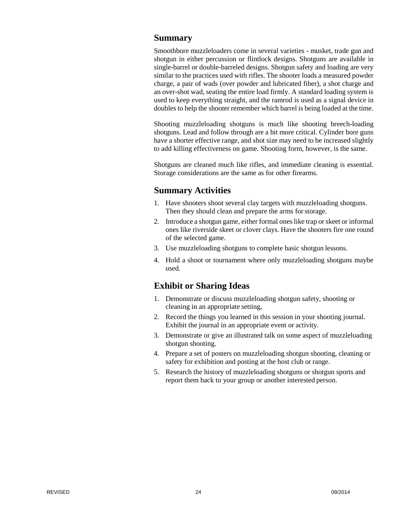#### **Summary**

Smoothbore muzzleloaders come in several varieties - musket, trade gun and shotgun in either percussion or flintlock designs. Shotguns are available in single-barrel or double-barreled designs. Shotgun safety and loading are very similar to the practices used with rifles. The shooter loads a measured powder charge, a pair of wads (over powder and lubricated fiber), a shot charge and an over-shot wad, seating the entire load firmly. A standard loading system is used to keep everything straight, and the ramrod is used as a signal device in doubles to help the shooter remember which barrel is being loaded at the time.

Shooting muzzleloading shotguns is much like shooting breech-loading shotguns. Lead and follow through are a bit more critical. Cylinder bore guns have a shorter effective range, and shot size may need to be increased slightly to add killing effectiveness on game. Shooting form, however, is the same.

Shotguns are cleaned much like rifles, and immediate cleaning is essential. Storage considerations are the same as for other firearms.

#### **Summary Activities**

- 1. Have shooters shoot several clay targets with muzzleloading shotguns. Then they should clean and prepare the arms forstorage.
- 2. Introduce a shotgun game, either formal ones like trap or skeet or informal ones like riverside skeet or clover clays. Have the shooters fire one round of the selected game.
- 3. Use muzzleloading shotguns to complete basic shotgun lessons.
- 4. Hold a shoot or tournament where only muzzleloading shotguns maybe used.

#### **Exhibit or Sharing Ideas**

- 1. Demonstrate or discuss muzzleloading shotgun safety, shooting or cleaning in an appropriate setting,
- 2. Record the things you learned in this session in your shooting journal. Exhibit the journal in an appropriate event or activity.
- 3. Demonstrate or give an illustrated talk on some aspect of muzzleloading shotgun shooting.
- 4. Prepare a set of posters on muzzleloading shotgun shooting, cleaning or safety for exhibition and posting at the host club or range.
- 5. Research the history of muzzleloading shotguns or shotgun sports and report them back to your group or another interested person.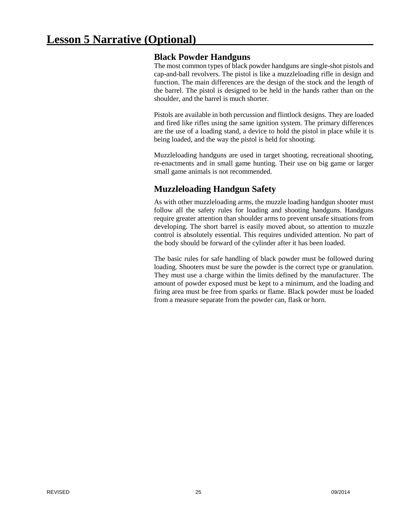## **Black Powder Handguns**

The most common types of black powder handguns are single-shot pistols and cap-and-ball revolvers. The pistol is like a muzzleloading rifle in design and function. The main differences are the design of the stock and the length of the barrel. The pistol is designed to be held in the hands rather than on the shoulder, and the barrel is much shorter.

Pistols are available in both percussion and flintlock designs. They are loaded and fired like rifles using the same ignition system. The primary differences are the use of a loading stand, a device to hold the pistol in place while it is being loaded, and the way the pistol is held for shooting.

Muzzleloading handguns are used in target shooting, recreational shooting, re-enactments and in small game hunting. Their use on big game or larger small game animals is not recommended.

# **Muzzleloading Handgun Safety**

As with other muzzleloading arms, the muzzle loading handgun shooter must follow all the safety rules for loading and shooting handguns. Handguns require greater attention than shoulder arms to prevent unsafe situations from developing. The short barrel is easily moved about, so attention to muzzle control is absolutely essential. This requires undivided attention. No part of the body should be forward of the cylinder after it has been loaded.

The basic rules for safe handling of black powder must be followed during loading. Shooters must be sure the powder is the correct type or granulation. They must use a charge within the limits defined by the manufacturer. The amount of powder exposed must be kept to a minimum, and the loading and firing area must be free from sparks or flame. Black powder must be loaded from a measure separate from the powder can, flask or horn.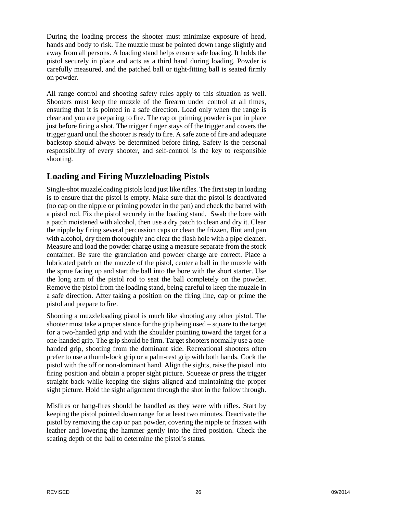During the loading process the shooter must minimize exposure of head, hands and body to risk. The muzzle must be pointed down range slightly and away from all persons. A loading stand helps ensure safe loading. It holds the pistol securely in place and acts as a third hand during loading. Powder is carefully measured, and the patched ball or tight-fitting ball is seated firmly on powder.

All range control and shooting safety rules apply to this situation as well. Shooters must keep the muzzle of the firearm under control at all times, ensuring that it is pointed in a safe direction. Load only when the range is clear and you are preparing to fire. The cap or priming powder is put in place just before firing a shot. The trigger finger stays off the trigger and covers the trigger guard until the shooter is ready to fire. A safe zone of fire and adequate backstop should always be determined before firing. Safety is the personal responsibility of every shooter, and self-control is the key to responsible shooting.

# **Loading and Firing Muzzleloading Pistols**

Single-shot muzzleloading pistols load just like rifles. The first step in loading is to ensure that the pistol is empty. Make sure that the pistol is deactivated (no cap on the nipple or priming powder in the pan) and check the barrel with a pistol rod. Fix the pistol securely in the loading stand. Swab the bore with a patch moistened with alcohol, then use a dry patch to clean and dry it. Clear the nipple by firing several percussion caps or clean the frizzen, flint and pan with alcohol, dry them thoroughly and clear the flash hole with a pipe cleaner. Measure and load the powder charge using a measure separate from the stock container. Be sure the granulation and powder charge are correct. Place a lubricated patch on the muzzle of the pistol, center a ball in the muzzle with the sprue facing up and start the ball into the bore with the short starter. Use the long arm of the pistol rod to seat the ball completely on the powder. Remove the pistol from the loading stand, being careful to keep the muzzle in a safe direction. After taking a position on the firing line, cap or prime the pistol and prepare to fire.

Shooting a muzzleloading pistol is much like shooting any other pistol. The shooter must take a proper stance for the grip being used – square to the target for a two-handed grip and with the shoulder pointing toward the target for a one-handed grip. The grip should be firm. Target shooters normally use a onehanded grip, shooting from the dominant side. Recreational shooters often prefer to use a thumb-lock grip or a palm-rest grip with both hands. Cock the pistol with the off or non-dominant hand. Align the sights, raise the pistol into firing position and obtain a proper sight picture. Squeeze or press the trigger straight back while keeping the sights aligned and maintaining the proper sight picture. Hold the sight alignment through the shot in the follow through.

Misfires or hang-fires should be handled as they were with rifles. Start by keeping the pistol pointed down range for at least two minutes. Deactivate the pistol by removing the cap or pan powder, covering the nipple or frizzen with leather and lowering the hammer gently into the fired position. Check the seating depth of the ball to determine the pistol's status.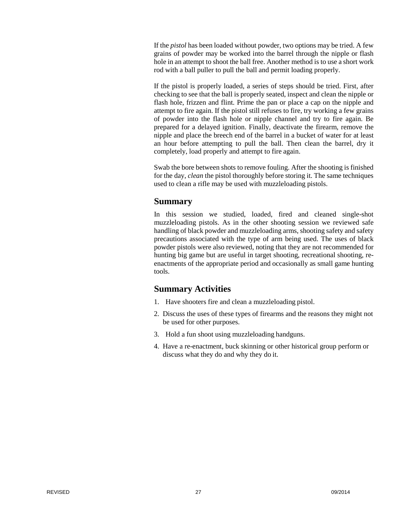If the *pistol* has been loaded without powder, two options may be tried. A few grains of powder may be worked into the barrel through the nipple or flash hole in an attempt to shoot the ball free. Another method is to use a short work rod with a ball puller to pull the ball and permit loading properly.

If the pistol is properly loaded, a series of steps should be tried. First, after checking to see that the ball is properly seated, inspect and clean the nipple or flash hole, frizzen and flint. Prime the pan or place a cap on the nipple and attempt to fire again. If the pistol still refuses to fire, try working a few grains of powder into the flash hole or nipple channel and try to fire again. Be prepared for a delayed ignition. Finally, deactivate the firearm, remove the nipple and place the breech end of the barrel in a bucket of water for at least an hour before attempting to pull the ball. Then clean the barrel, dry it completely, load properly and attempt to fire again.

Swab the bore between shots to remove fouling. After the shooting is finished for the day, *clean* the pistol thoroughly before storing it. The same techniques used to clean a rifle may be used with muzzleloading pistols.

#### **Summary**

In this session we studied, loaded, fired and cleaned single-shot muzzleloading pistols. As in the other shooting session we reviewed safe handling of black powder and muzzleloading arms, shooting safety and safety precautions associated with the type of arm being used. The uses of black powder pistols were also reviewed, noting that they are not recommended for hunting big game but are useful in target shooting, recreational shooting, reenactments of the appropriate period and occasionally as small game hunting tools.

#### **Summary Activities**

- 1. Have shooters fire and clean a muzzleloading pistol.
- 2. Discuss the uses of these types of firearms and the reasons they might not be used for other purposes.
- 3. Hold a fun shoot using muzzleloading handguns.
- 4. Have a re-enactment, buck skinning or other historical group perform or discuss what they do and why they do it.